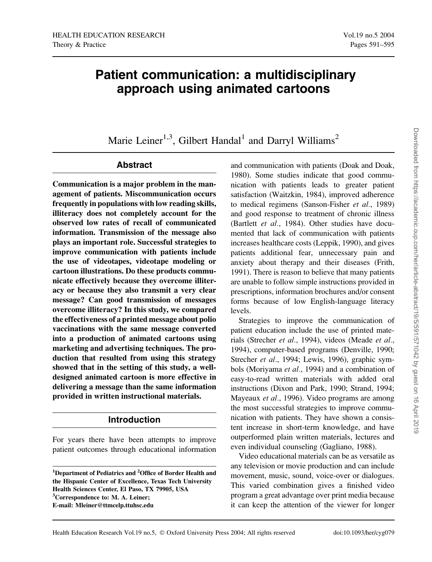# Patient communication: a multidisciplinary approach using animated cartoons

Marie Leiner<sup>1,3</sup>, Gilbert Handal<sup>1</sup> and Darryl Williams<sup>2</sup>

# Abstract

Communication is a major problem in the management of patients. Miscommunication occurs frequently in populations with low reading skills, illiteracy does not completely account for the observed low rates of recall of communicated information. Transmission of the message also plays an important role. Successful strategies to improve communication with patients include the use of videotapes, videotape modeling or cartoon illustrations. Do these products communicate effectively because they overcome illiteracy or because they also transmit a very clear message? Can good transmission of messages overcome illiteracy? In this study, we compared the effectiveness of a printed message about polio vaccinations with the same message converted into a production of animated cartoons using marketing and advertising techniques. The production that resulted from using this strategy showed that in the setting of this study, a welldesigned animated cartoon is more effective in delivering a message than the same information provided in written instructional materials.

# Introduction

For years there have been attempts to improve patient outcomes through educational information

<sup>1</sup>Department of Pediatrics and <sup>2</sup>Office of Border Health and the Hispanic Center of Excellence, Texas Tech University Health Sciences Center, El Paso, TX 79905, USA <sup>3</sup>Correspondence to: M. A. Leiner; E-mail: Mleiner@ttmcelp.ttuhsc.edu

and communication with patients (Doak and Doak, 1980). Some studies indicate that good communication with patients leads to greater patient satisfaction (Waitzkin, 1984), improved adherence to medical regimens (Sanson-Fisher et al., 1989) and good response to treatment of chronic illness (Bartlett et al., 1984). Other studies have documented that lack of communication with patients increases healthcare costs (Leppik, 1990), and gives patients additional fear, unnecessary pain and anxiety about therapy and their diseases (Frith, 1991). There is reason to believe that many patients are unable to follow simple instructions provided in prescriptions, information brochures and/or consent forms because of low English-language literacy levels.

Strategies to improve the communication of patient education include the use of printed materials (Strecher et al., 1994), videos (Meade et al., 1994), computer-based programs (Denville, 1990; Strecher et al., 1994; Lewis, 1996), graphic symbols (Moriyama et al., 1994) and a combination of easy-to-read written materials with added oral instructions (Dixon and Park, 1990; Strand, 1994; Mayeaux *et al.*, 1996). Video programs are among the most successful strategies to improve communication with patients. They have shown a consistent increase in short-term knowledge, and have outperformed plain written materials, lectures and even individual counseling (Gagliano, 1988).

Video educational materials can be as versatile as any television or movie production and can include movement, music, sound, voice-over or dialogues. This varied combination gives a finished video program a great advantage over print media because it can keep the attention of the viewer for longer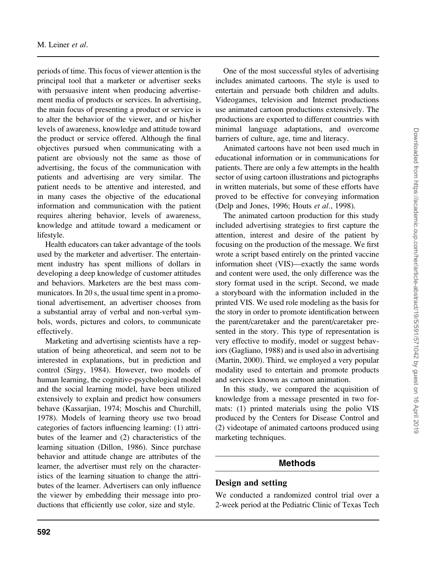periods of time. This focus of viewer attention is the principal tool that a marketer or advertiser seeks with persuasive intent when producing advertisement media of products or services. In advertising, the main focus of presenting a product or service is to alter the behavior of the viewer, and or his/her levels of awareness, knowledge and attitude toward the product or service offered. Although the final objectives pursued when communicating with a patient are obviously not the same as those of advertising, the focus of the communication with patients and advertising are very similar. The patient needs to be attentive and interested, and in many cases the objective of the educational information and communication with the patient requires altering behavior, levels of awareness, knowledge and attitude toward a medicament or lifestyle.

Health educators can taker advantage of the tools used by the marketer and advertiser. The entertainment industry has spent millions of dollars in developing a deep knowledge of customer attitudes and behaviors. Marketers are the best mass communicators. In 20 s, the usual time spent in a promotional advertisement, an advertiser chooses from a substantial array of verbal and non-verbal symbols, words, pictures and colors, to communicate effectively.

Marketing and advertising scientists have a reputation of being atheoretical, and seem not to be interested in explanations, but in prediction and control (Sirgy, 1984). However, two models of human learning, the cognitive-psychological model and the social learning model, have been utilized extensively to explain and predict how consumers behave (Kassarjian, 1974; Moschis and Churchill, 1978). Models of learning theory use two broad categories of factors influencing learning: (1) attributes of the learner and (2) characteristics of the learning situation (Dillon, 1986). Since purchase behavior and attitude change are attributes of the learner, the advertiser must rely on the characteristics of the learning situation to change the attributes of the learner. Advertisers can only influence the viewer by embedding their message into productions that efficiently use color, size and style.

One of the most successful styles of advertising includes animated cartoons. The style is used to entertain and persuade both children and adults. Videogames, television and Internet productions use animated cartoon productions extensively. The productions are exported to different countries with minimal language adaptations, and overcome barriers of culture, age, time and literacy.

Animated cartoons have not been used much in educational information or in communications for patients. There are only a few attempts in the health sector of using cartoon illustrations and pictographs in written materials, but some of these efforts have proved to be effective for conveying information (Delp and Jones, 1996; Houts et al., 1998).

The animated cartoon production for this study included advertising strategies to first capture the attention, interest and desire of the patient by focusing on the production of the message. We first wrote a script based entirely on the printed vaccine information sheet (VIS)—exactly the same words and content were used, the only difference was the story format used in the script. Second, we made a storyboard with the information included in the printed VIS. We used role modeling as the basis for the story in order to promote identification between the parent/caretaker and the parent/caretaker presented in the story. This type of representation is very effective to modify, model or suggest behaviors (Gagliano, 1988) and is used also in advertising (Martin, 2000). Third, we employed a very popular modality used to entertain and promote products and services known as cartoon animation.

In this study, we compared the acquisition of knowledge from a message presented in two formats: (1) printed materials using the polio VIS produced by the Centers for Disease Control and (2) videotape of animated cartoons produced using marketing techniques.

# **Methods**

# Design and setting

We conducted a randomized control trial over a 2-week period at the Pediatric Clinic of Texas Tech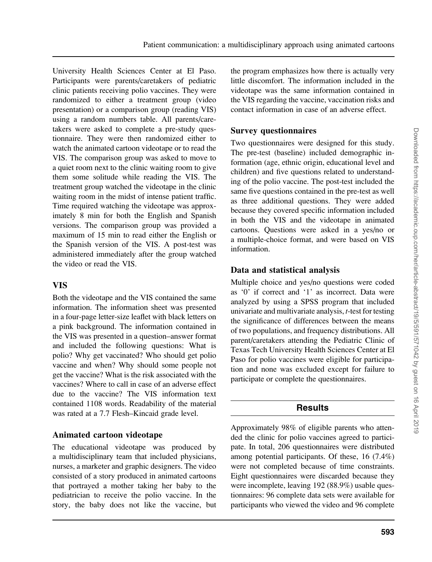University Health Sciences Center at El Paso. Participants were parents/caretakers of pediatric clinic patients receiving polio vaccines. They were randomized to either a treatment group (video presentation) or a comparison group (reading VIS) using a random numbers table. All parents/caretakers were asked to complete a pre-study questionnaire. They were then randomized either to watch the animated cartoon videotape or to read the VIS. The comparison group was asked to move to a quiet room next to the clinic waiting room to give them some solitude while reading the VIS. The treatment group watched the videotape in the clinic waiting room in the midst of intense patient traffic. Time required watching the videotape was approximately 8 min for both the English and Spanish versions. The comparison group was provided a maximum of 15 min to read either the English or the Spanish version of the VIS. A post-test was administered immediately after the group watched the video or read the VIS.

#### VIS

Both the videotape and the VIS contained the same information. The information sheet was presented in a four-page letter-size leaflet with black letters on a pink background. The information contained in the VIS was presented in a question–answer format and included the following questions: What is polio? Why get vaccinated? Who should get polio vaccine and when? Why should some people not get the vaccine? What is the risk associated with the vaccines? Where to call in case of an adverse effect due to the vaccine? The VIS information text contained 1108 words. Readability of the material was rated at a 7.7 Flesh–Kincaid grade level.

#### Animated cartoon videotape

The educational videotape was produced by a multidisciplinary team that included physicians, nurses, a marketer and graphic designers. The video consisted of a story produced in animated cartoons that portrayed a mother taking her baby to the pediatrician to receive the polio vaccine. In the story, the baby does not like the vaccine, but the program emphasizes how there is actually very little discomfort. The information included in the videotape was the same information contained in the VIS regarding the vaccine, vaccination risks and contact information in case of an adverse effect.

#### Survey questionnaires

Two questionnaires were designed for this study. The pre-test (baseline) included demographic information (age, ethnic origin, educational level and children) and five questions related to understanding of the polio vaccine. The post-test included the same five questions contained in the pre-test as well as three additional questions. They were added because they covered specific information included in both the VIS and the videotape in animated cartoons. Questions were asked in a yes/no or a multiple-choice format, and were based on VIS information.

# Data and statistical analysis

Multiple choice and yes/no questions were coded as '0' if correct and '1' as incorrect. Data were analyzed by using a SPSS program that included univariate and multivariate analysis, t-test for testing the significance of differences between the means of two populations, and frequency distributions. All parent/caretakers attending the Pediatric Clinic of Texas Tech University Health Sciences Center at El Paso for polio vaccines were eligible for participation and none was excluded except for failure to participate or complete the questionnaires.

# **Results**

Approximately 98% of eligible parents who attended the clinic for polio vaccines agreed to participate. In total, 206 questionnaires were distributed among potential participants. Of these, 16 (7.4%) were not completed because of time constraints. Eight questionnaires were discarded because they were incomplete, leaving 192 (88.9%) usable questionnaires: 96 complete data sets were available for participants who viewed the video and 96 complete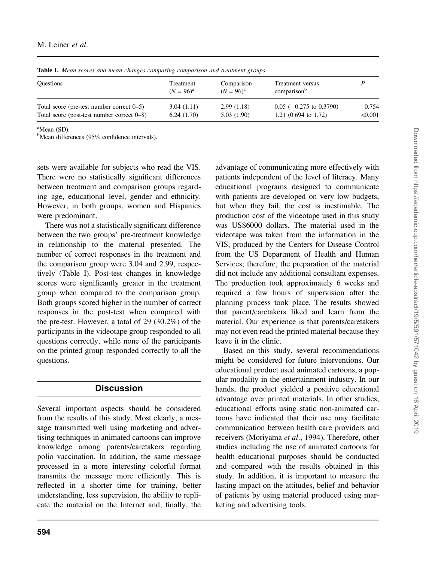| <b>Questions</b>                              | Treatment<br>$(N = 96)^{a}$ | Comparison<br>$(N = 96)^{a}$ | Treatment versus<br>comparison <sup>b</sup> |         |
|-----------------------------------------------|-----------------------------|------------------------------|---------------------------------------------|---------|
| Total score (pre-test number correct $0-5$ )  | 3.04(1.11)                  | 2.99(1.18)                   | $0.05$ (-0.275 to 0.3790)                   | 0.754   |
| Total score (post-test number correct $0-8$ ) | 6.24(1.70)                  | 5.03(1.90)                   | 1.21 $(0.694 \text{ to } 1.72)$             | < 0.001 |

Table I. Mean scores and mean changes comparing comparison and treatment groups

 $^{\text{a}}$ Mean (SD).

<sup>b</sup>Mean differences (95% confidence intervals).

sets were available for subjects who read the VIS. There were no statistically significant differences between treatment and comparison groups regarding age, educational level, gender and ethnicity. However, in both groups, women and Hispanics were predominant.

There was not a statistically significant difference between the two groups' pre-treatment knowledge in relationship to the material presented. The number of correct responses in the treatment and the comparison group were 3.04 and 2.99, respectively (Table I). Post-test changes in knowledge scores were significantly greater in the treatment group when compared to the comparison group. Both groups scored higher in the number of correct responses in the post-test when compared with the pre-test. However, a total of 29 (30.2%) of the participants in the videotape group responded to all questions correctly, while none of the participants on the printed group responded correctly to all the questions.

# **Discussion**

Several important aspects should be considered from the results of this study. Most clearly, a message transmitted well using marketing and advertising techniques in animated cartoons can improve knowledge among parents/caretakers regarding polio vaccination. In addition, the same message processed in a more interesting colorful format transmits the message more efficiently. This is reflected in a shorter time for training, better understanding, less supervision, the ability to replicate the material on the Internet and, finally, the

advantage of communicating more effectively with patients independent of the level of literacy. Many educational programs designed to communicate with patients are developed on very low budgets, but when they fail, the cost is inestimable. The production cost of the videotape used in this study was US\$6000 dollars. The material used in the videotape was taken from the information in the VIS, produced by the Centers for Disease Control from the US Department of Health and Human Services; therefore, the preparation of the material did not include any additional consultant expenses. The production took approximately 6 weeks and required a few hours of supervision after the planning process took place. The results showed that parent/caretakers liked and learn from the material. Our experience is that parents/caretakers may not even read the printed material because they leave it in the clinic.

Based on this study, several recommendations might be considered for future interventions. Our educational product used animated cartoons, a popular modality in the entertainment industry. In our hands, the product yielded a positive educational advantage over printed materials. In other studies, educational efforts using static non-animated cartoons have indicated that their use may facilitate communication between health care providers and receivers (Moriyama et al., 1994). Therefore, other studies including the use of animated cartoons for health educational purposes should be conducted and compared with the results obtained in this study. In addition, it is important to measure the lasting impact on the attitudes, belief and behavior of patients by using material produced using marketing and advertising tools.